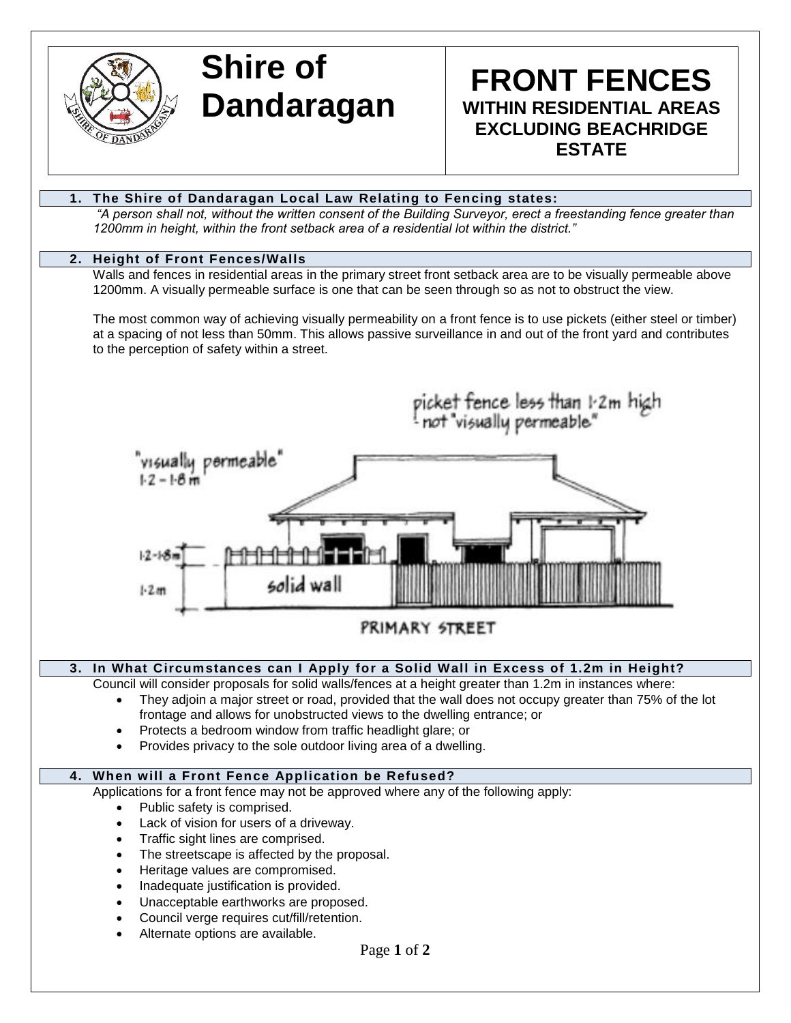